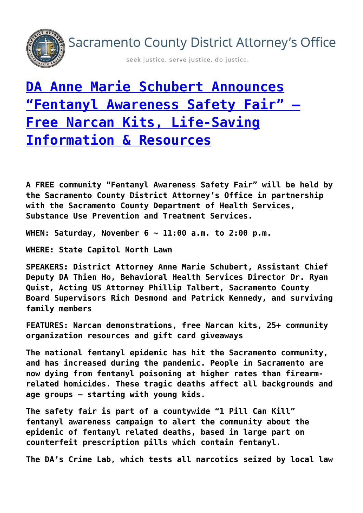Sacramento County District Attorney's Office



seek justice. serve justice. do justice.

## **[DA Anne Marie Schubert Announces](https://www.sacda.org/2021/10/da-anne-marie-schubert-announces-fentanyl-awareness-safety-fair/) ["Fentanyl Awareness Safety Fair" –](https://www.sacda.org/2021/10/da-anne-marie-schubert-announces-fentanyl-awareness-safety-fair/) [Free Narcan Kits, Life-Saving](https://www.sacda.org/2021/10/da-anne-marie-schubert-announces-fentanyl-awareness-safety-fair/) [Information & Resources](https://www.sacda.org/2021/10/da-anne-marie-schubert-announces-fentanyl-awareness-safety-fair/)**

**A FREE community "Fentanyl Awareness Safety Fair" will be held by the Sacramento County District Attorney's Office in partnership with the Sacramento County Department of Health Services, Substance Use Prevention and Treatment Services.**

**WHEN: Saturday, November 6 ~ 11:00 a.m. to 2:00 p.m.**

**WHERE: State Capitol North Lawn**

**SPEAKERS: District Attorney Anne Marie Schubert, Assistant Chief Deputy DA Thien Ho, Behavioral Health Services Director Dr. Ryan Quist, Acting US Attorney Phillip Talbert, Sacramento County Board Supervisors Rich Desmond and Patrick Kennedy, and surviving family members**

**FEATURES: Narcan demonstrations, free Narcan kits, 25+ community organization resources and gift card giveaways**

**The national fentanyl epidemic has hit the Sacramento community, and has increased during the pandemic. People in Sacramento are now dying from fentanyl poisoning at higher rates than firearmrelated homicides. These tragic deaths affect all backgrounds and age groups – starting with young kids.**

**The safety fair is part of a countywide "1 Pill Can Kill" fentanyl awareness campaign to alert the community about the epidemic of fentanyl related deaths, based in large part on counterfeit prescription pills which contain fentanyl.**

**The DA's Crime Lab, which tests all narcotics seized by local law**